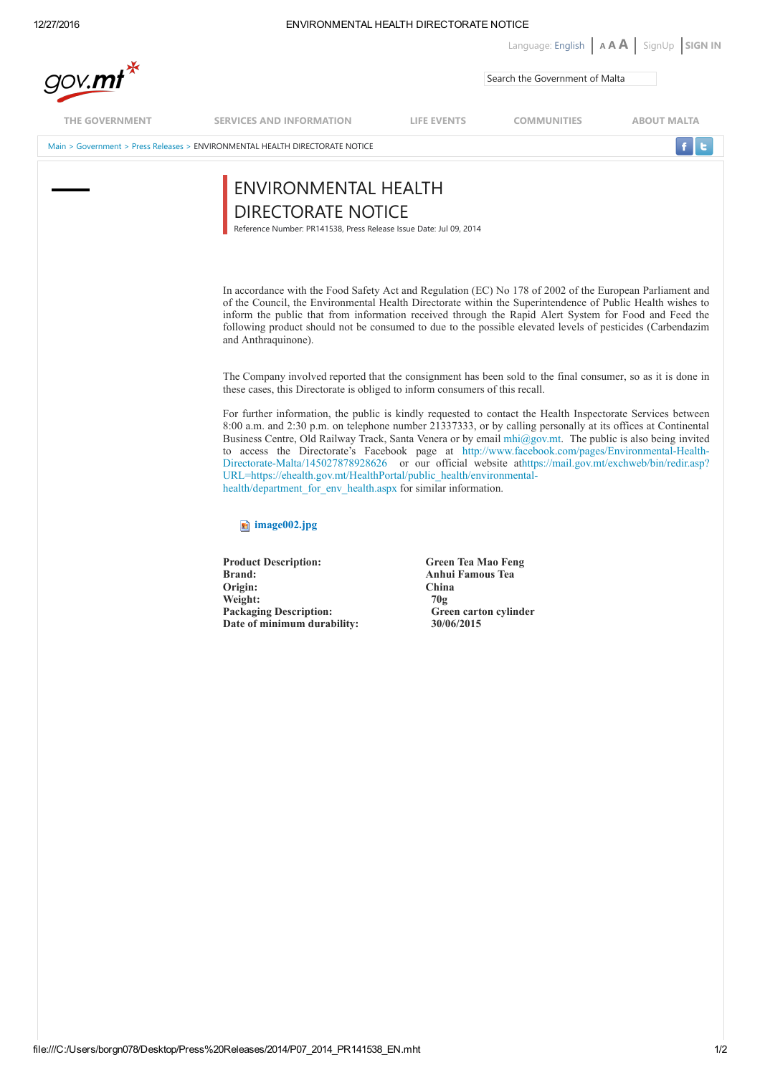| 12/27/2016          | ENVIRONMENTAL HEALTH DIRECTORATE NOTICE                                                                                                                                                                                                                                                                                                                                                                                                                                                                                                                                                                                                                                                          |                                                                                                             |                                            |                    |
|---------------------|--------------------------------------------------------------------------------------------------------------------------------------------------------------------------------------------------------------------------------------------------------------------------------------------------------------------------------------------------------------------------------------------------------------------------------------------------------------------------------------------------------------------------------------------------------------------------------------------------------------------------------------------------------------------------------------------------|-------------------------------------------------------------------------------------------------------------|--------------------------------------------|--------------------|
| gov.mt <sup>*</sup> |                                                                                                                                                                                                                                                                                                                                                                                                                                                                                                                                                                                                                                                                                                  |                                                                                                             | Language: English   AAA   SignUp   SIGN IN |                    |
|                     |                                                                                                                                                                                                                                                                                                                                                                                                                                                                                                                                                                                                                                                                                                  |                                                                                                             | Search the Government of Malta             |                    |
| THE GOVERNMENT      | <b>SERVICES AND INFORMATION</b>                                                                                                                                                                                                                                                                                                                                                                                                                                                                                                                                                                                                                                                                  | LIFE EVENTS                                                                                                 | <b>COMMUNITIES</b>                         | <b>ABOUT MALTA</b> |
|                     | Main > Government > Press Releases > ENVIRONMENTAL HEALTH DIRECTORATE NOTICE                                                                                                                                                                                                                                                                                                                                                                                                                                                                                                                                                                                                                     |                                                                                                             |                                            |                    |
|                     | ENVIRONMENTAL HEALTH<br>DIRECTORATE NOTICE<br>Reference Number: PR141538, Press Release Issue Date: Jul 09, 2014                                                                                                                                                                                                                                                                                                                                                                                                                                                                                                                                                                                 |                                                                                                             |                                            |                    |
|                     | In accordance with the Food Safety Act and Regulation (EC) No 178 of 2002 of the European Parliament and<br>of the Council, the Environmental Health Directorate within the Superintendence of Public Health wishes to<br>inform the public that from information received through the Rapid Alert System for Food and Feed the<br>following product should not be consumed to due to the possible elevated levels of pesticides (Carbendazim<br>and Anthraquinone).                                                                                                                                                                                                                             |                                                                                                             |                                            |                    |
|                     | The Company involved reported that the consignment has been sold to the final consumer, so as it is done in<br>these cases, this Directorate is obliged to inform consumers of this recall.                                                                                                                                                                                                                                                                                                                                                                                                                                                                                                      |                                                                                                             |                                            |                    |
|                     | For further information, the public is kindly requested to contact the Health Inspectorate Services between<br>8:00 a.m. and 2:30 p.m. on telephone number 21337333, or by calling personally at its offices at Continental<br>Business Centre, Old Railway Track, Santa Venera or by email mhi@gov.mt. The public is also being invited<br>to access the Directorate's Facebook page at http://www.facebook.com/pages/Environmental-Health-<br>Directorate-Malta/145027878928626 or our official website athttps://mail.gov.mt/exchweb/bin/redir.asp?<br>URL=https://ehealth.gov.mt/HealthPortal/public_health/environmental-<br>health/department_for_env_health.aspx for similar information. |                                                                                                             |                                            |                    |
|                     | $\blacksquare$ image 002.jpg                                                                                                                                                                                                                                                                                                                                                                                                                                                                                                                                                                                                                                                                     |                                                                                                             |                                            |                    |
|                     | <b>Product Description:</b><br><b>Brand:</b><br>Origin:<br>Weight:<br><b>Packaging Description:</b><br>Date of minimum durability:                                                                                                                                                                                                                                                                                                                                                                                                                                                                                                                                                               | <b>Green Tea Mao Feng</b><br><b>Anhui Famous Tea</b><br>China<br>70g<br>Green carton cylinder<br>30/06/2015 |                                            |                    |
|                     |                                                                                                                                                                                                                                                                                                                                                                                                                                                                                                                                                                                                                                                                                                  |                                                                                                             |                                            |                    |
|                     |                                                                                                                                                                                                                                                                                                                                                                                                                                                                                                                                                                                                                                                                                                  |                                                                                                             |                                            |                    |
|                     |                                                                                                                                                                                                                                                                                                                                                                                                                                                                                                                                                                                                                                                                                                  |                                                                                                             |                                            |                    |
|                     |                                                                                                                                                                                                                                                                                                                                                                                                                                                                                                                                                                                                                                                                                                  |                                                                                                             |                                            |                    |